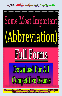

## Some Most Important (Abbreviation)



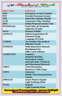

| <b>Short Name</b>   | <b>Full Form</b>   |
|---------------------|--------------------|
| <b>PAN</b>          | Permanen           |
| PDF                 | <b>Portable I</b>  |
| <b>SIM</b>          | Subscribe          |
| <b>ATM</b>          | <b>Automate</b>    |
| <b>IFSC</b>         | <b>Indian Fin</b>  |
| <b>FSSAI(Fssai)</b> | <b>Food Safet</b>  |
|                     | <b>Authority</b>   |
| Wi-Fi               | <b>Wireless F</b>  |
| <b>GOOGLE</b>       | <b>Global Or</b>   |
|                     | <b>Oriented C</b>  |
|                     | Language           |
| YAHOO               | <b>Yet Anoth</b>   |
|                     | <b>Officious</b>   |
| WINDOW              | <b>Wide Inter</b>  |
|                     | Developm           |
|                     | <b>Office wor</b>  |
| <b>COMPUTER</b>     | <b>Common</b>      |
|                     | <b>Oriented</b> N  |
|                     | Particular         |
|                     | and used u         |
|                     | and Educa          |
| <b>VIRUS</b>        | <b>Vital Infor</b> |

| <b>Full Form</b> |
|------------------|
|                  |

**rmanent Account Number rtable Document format bscriber Identity Module Automated Teller Machine Iian Financial System Code** *Food Safety & Standards* **Authority of India Wireless Fidelity Googlehical Organization Of iented Group Language Of Earth** *<u>Another Hierarchical</u>* **ficious Oracle Kde Interactive Network velopment for Office work Solution COMPUTER iented Machine. Particularly United d** used under Technical **and Educational Research Lal Information Resources Under Siege.**

| <b>UMTS</b>                                                                                  | <b>Universal</b>                 |
|----------------------------------------------------------------------------------------------|----------------------------------|
|                                                                                              | <b>Mobile Telecommunications</b> |
|                                                                                              | <b>System</b>                    |
| <b>AMOLED</b>                                                                                | <b>Active-Matrix Organic</b>     |
|                                                                                              | <b>Light-Emitting Diode</b>      |
| <b>OLED</b>                                                                                  | Organic                          |
|                                                                                              | <b>Light-Emitting Diode</b>      |
| <mark>Download tî competitive ereme î țui yuî</mark><br>Îni <i>vrena est estimolizea</i> n w |                                  |
|                                                                                              |                                  |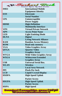

| <b>IMEI</b>                             | <b>International Mobile</b>      |
|-----------------------------------------|----------------------------------|
|                                         | <b>Equipment Identity</b>        |
| <b>ESN</b>                              | <b>Electronic</b>                |
|                                         | <b>Serial Number</b>             |
| <b>UPS</b>                              | Uninterruptible                  |
|                                         | <b>Power Supply</b>              |
| <b>HDMI</b>                             | <b>High-Definition</b>           |
|                                         | <b>Multimedia Interface</b>      |
| <b>VPN</b>                              | <b>Virtual Private Network</b>   |
| <b>APN</b>                              | <b>Access Point Name</b>         |
| <b>LED</b>                              | <b>Light Emitting Diode</b>      |
| <b>DLNA</b>                             | <b>Digital</b>                   |
|                                         | <b>Living Network Alliance</b>   |
| RAM                                     | <b>Random Access Memory</b>      |
| <b>ROM</b>                              | <b>Read only memory</b>          |
| <b>VGA</b>                              | <b>Video Graphics Array</b>      |
| <b>QVGA</b>                             | <b>Quarter Video</b>             |
|                                         | <b>Graphics Array</b>            |
| <b>WVGA</b>                             | <b>Wide Video Graphics Array</b> |
| <b>WXGA</b>                             | <b>Widescreen Extended</b>       |
|                                         | <b>Graphics Array</b>            |
| <b>USB</b>                              | <b>Universal Serial Bus.</b>     |
| <b>WLAN</b>                             | <b>Wireless</b>                  |
|                                         | <b>Local Area Network</b>        |
| <b>PPI</b>                              | <b>Pixels Per Inch</b>           |
| <b>LCD</b>                              | <b>Liquid Crystal Display</b>    |
| <b>HSDPA</b>                            | <b>High-Speed Uplink</b>         |
|                                         | <b>Packet Access</b>             |
| <b>HSUPA</b>                            | <b>High-Speed Uplink</b>         |
|                                         | <b>Packet Access</b>             |
| <b>HSPA</b>                             | <b>High Speed</b>                |
| Dounlead ti competitive exame t tui yut |                                  |
| tra www.waterstand hookeeping           |                                  |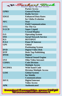| Sankart Book<br>Taiyari Karne Ka Nya Tarika                             |                                 |
|-------------------------------------------------------------------------|---------------------------------|
|                                                                         | <b>Packet Access</b>            |
| <b>GPRS</b>                                                             | <b>General Packet</b>           |
|                                                                         | <b>Radio Service</b>            |
| <b>EDGE</b>                                                             | <b>Enhanced Data Rates</b>      |
|                                                                         | for Globa Evolution             |
| NFC                                                                     | <b>Near</b>                     |
|                                                                         | <b>Field Communication</b>      |
| <b>OTG</b>                                                              | <b>On-The-Go</b>                |
| <b>S-LCD</b>                                                            | <b>Super Liquid</b>             |
|                                                                         | <b>Crystal Display</b>          |
| $\bf{O}.S$                                                              | <b>Operating System</b>         |
| <b>DIAD</b>                                                             | <b>Social Network Service</b>   |
| H.S                                                                     | <b>HOTSPOT</b>                  |
| $\vert$ P.O.I                                                           | <b>Point Of Interest</b>        |
| <b>GPS</b>                                                              | Global                          |
|                                                                         | <b>Positioning System</b>       |
| <b>DVD</b>                                                              | <b>Digital Video Disk</b>       |
| <b>DTP</b>                                                              | <b>Desk Top Publishing</b>      |
| <b>DNSE</b>                                                             | <b>Digital</b>                  |
|                                                                         | <b>Natural Sound Engine</b>     |
| <b>OVI</b>                                                              | <b>Ohio Video Intranet</b>      |
| <b>CDMA</b>                                                             | <b>Code Division</b>            |
|                                                                         | <b>Multiple Access</b>          |
| <b>WCDMA</b>                                                            | <b>Wide-band Code</b>           |
|                                                                         | <b>Division Multiple Access</b> |
| <b>GSM</b>                                                              | <b>Global System</b>            |
|                                                                         | for Mobile                      |
|                                                                         | <b>Communications</b>           |
| <b>DIVX</b>                                                             | <b>Digital Internet</b>         |
|                                                                         | <b>Video Access</b>             |
| <b>APK</b>                                                              | <b>Authenticated</b>            |
| Download ti competitive exame t tui yut<br>tud www.vessylengthook.com w |                                 |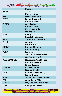| Sankart Book<br>Taiyari Karne Ka Nya Tarika                                  |                                  |  |
|------------------------------------------------------------------------------|----------------------------------|--|
|                                                                              | <b>Public Key</b>                |  |
| <b>J2ME</b>                                                                  | Java 2                           |  |
|                                                                              | <b>Micro Edition</b>             |  |
| <b>SIS</b>                                                                   | <b>Installation Source</b>       |  |
| <b>DELL</b>                                                                  | <b>Digital Electronic</b>        |  |
|                                                                              | <b>Link Library</b>              |  |
| <b>ACER</b>                                                                  | <b>Acquisition</b>               |  |
|                                                                              | <b>Collaboration</b>             |  |
|                                                                              | <b>Experimentation</b>           |  |
|                                                                              | <b>Reflection</b>                |  |
| <b>RSS</b>                                                                   | <b>Really</b>                    |  |
|                                                                              | <b>Simple Syndication</b>        |  |
| <b>TFT</b>                                                                   | <b>Thin Film Transistor</b>      |  |
| <b>AMR</b>                                                                   | <b>Adaptive</b>                  |  |
|                                                                              | <b>Multi-Rate</b>                |  |
| <b>MPEG</b>                                                                  | <b>Moving Pictures</b>           |  |
|                                                                              | <b>Experts Group</b>             |  |
| <b>IVRS</b>                                                                  | <b>Interactive</b>               |  |
|                                                                              | <b>Voice Response System</b>     |  |
| HP                                                                           | <b>Hewlett Packard</b>           |  |
| <b>NEWSPAPER</b>                                                             | <b>North East West South</b>     |  |
|                                                                              | <b>Past and Present</b>          |  |
|                                                                              | <b>Events Report</b>             |  |
| <b>CHESS</b>                                                                 | <b>Chariot, Horse,</b>           |  |
|                                                                              | <b>Elephant, Soldiers</b>        |  |
| <b>COLD</b>                                                                  | Chronic, Obstructive,            |  |
|                                                                              | <b>Lung, Disease</b>             |  |
| <b>JOKE</b>                                                                  | <b>Joy of Kids Entertainment</b> |  |
| <b>AIM</b>                                                                   | <b>Ambition in Mind</b>          |  |
| <b>DATE</b>                                                                  | Day and Time Evolution           |  |
| <b>EAT</b>                                                                   | <b>Energy and Taste</b>          |  |
| Download ti competitive exeme t tul yut<br>tra www.wasterstand to the common |                                  |  |